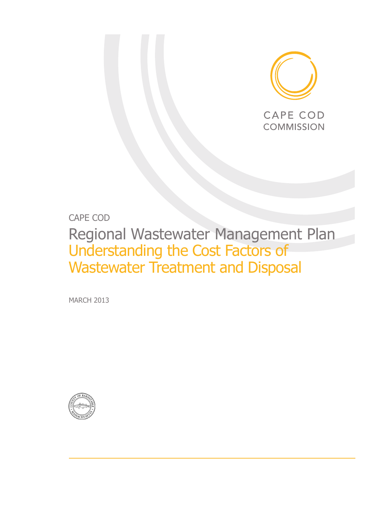

## CAPE COD

# Regional Wastewater Management Plan Understanding the Cost Factors of Wastewater Treatment and Disposal

MARCH 2013

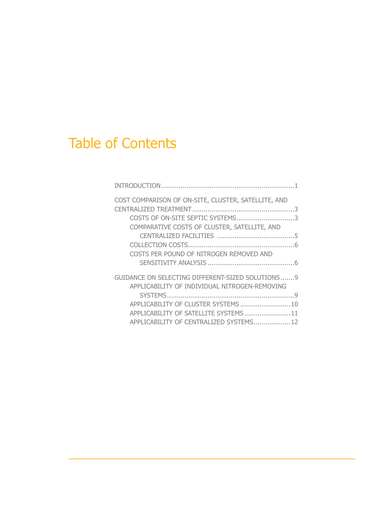# Table of Contents

| COST COMPARISON OF ON-SITE, CLUSTER, SATELLITE, AND |  |
|-----------------------------------------------------|--|
|                                                     |  |
| COSTS OF ON-SITE SEPTIC SYSTEMS3                    |  |
| COMPARATIVE COSTS OF CLUSTER, SATELLITE, AND        |  |
|                                                     |  |
|                                                     |  |
| COSTS PER POUND OF NITROGEN REMOVED AND             |  |
|                                                     |  |
| GUIDANCE ON SELECTING DIFFERENT-SIZED SOLUTIONS  9  |  |
| APPLICABILITY OF INDIVIDUAL NITROGEN-REMOVING       |  |
|                                                     |  |
| APPLICABILITY OF CLUSTER SYSTEMS  10                |  |
| APPLICABILITY OF SATELLITE SYSTEMS 11               |  |
| APPLICABILITY OF CENTRALIZED SYSTEMS 12             |  |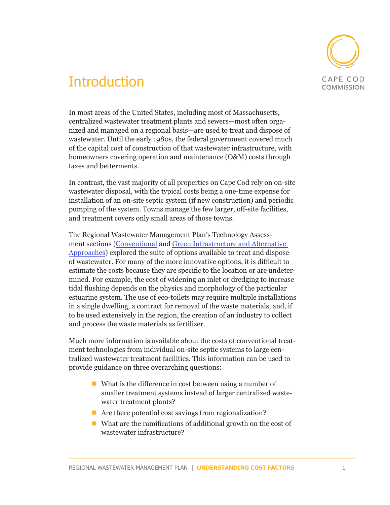

# **Introduction**

In most areas of the United States, including most of Massachusetts, centralized wastewater treatment plants and sewers—most often organized and managed on a regional basis—are used to treat and dispose of wastewater. Until the early 1980s, the federal government covered much of the capital cost of construction of that wastewater infrastructure, with homeowners covering operation and maintenance (O&M) costs through taxes and betterments.

In contrast, the vast majority of all properties on Cape Cod rely on on-site wastewater disposal, with the typical costs being a one-time expense for installation of an on-site septic system (if new construction) and periodic pumping of the system. Towns manage the few larger, off-site facilities, and treatment covers only small areas of those towns.

The Regional Wastewater Management Plan's Technology Assessment sections ([Conventional](http://www.capecodcommission.org/resources/RWMP/RWMP_ta_conventional.pdf) and G[reen Infrastructure and Alternative](http://www.capecodcommission.org/resources/RWMP/RWMP_ta_alternatives.pdf)  [Approaches](http://www.capecodcommission.org/resources/RWMP/RWMP_ta_alternatives.pdf)) explored the suite of options available to treat and dispose of wastewater. For many of the more innovative options, it is difficult to estimate the costs because they are specific to the location or are undetermined. For example, the cost of widening an inlet or dredging to increase tidal flushing depends on the physics and morphology of the particular estuarine system. The use of eco-toilets may require multiple installations in a single dwelling, a contract for removal of the waste materials, and, if to be used extensively in the region, the creation of an industry to collect and process the waste materials as fertilizer.

Much more information is available about the costs of conventional treatment technologies from individual on-site septic systems to large centralized wastewater treatment facilities. This information can be used to provide guidance on three overarching questions:

- What is the difference in cost between using a number of smaller treatment systems instead of larger centralized wastewater treatment plants?
- $\blacksquare$  Are there potential cost savings from regionalization?
- What are the ramifications of additional growth on the cost of wastewater infrastructure?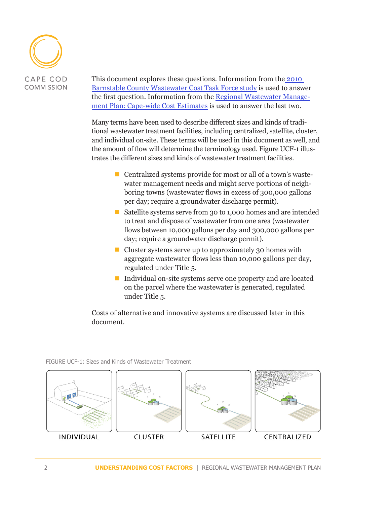

This document explores these questions. Information from th[e 2010](http://www.ccwpc.org/images/educ_materials/wwreports/cape_cod_ww_costs--4-10.pdf)  [Barnstable County Wastewater Cost Task Force study](http://www.ccwpc.org/images/educ_materials/wwreports/cape_cod_ww_costs--4-10.pdf) is used to answer the first question. Information from the [Regional Wastewater Manage](http://www.capecodcommission.org/resources/RWMP/RWMP_costs_capewide.pdf)[ment Plan: Cape-wide Cost Estimates](http://www.capecodcommission.org/resources/RWMP/RWMP_costs_capewide.pdf) is used to answer the last two.

Many terms have been used to describe different sizes and kinds of traditional wastewater treatment facilities, including centralized, satellite, cluster, and individual on-site. These terms will be used in this document as well, and the amount of flow will determine the terminology used. Figure UCF-1 illustrates the different sizes and kinds of wastewater treatment facilities.

- Centralized systems provide for most or all of a town's wastewater management needs and might serve portions of neighboring towns (wastewater flows in excess of 300,000 gallons per day; require a groundwater discharge permit).
- Satellite systems serve from 30 to 1,000 homes and are intended to treat and dispose of wastewater from one area (wastewater flows between 10,000 gallons per day and 300,000 gallons per day; require a groundwater discharge permit).
- $\blacksquare$  Cluster systems serve up to approximately 30 homes with aggregate wastewater flows less than 10,000 gallons per day, regulated under Title 5.
- Individual on-site systems serve one property and are located on the parcel where the wastewater is generated, regulated under Title 5.

Costs of alternative and innovative systems are discussed later in this document.

FIGURE UCF-1: Sizes and Kinds of Wastewater Treatment

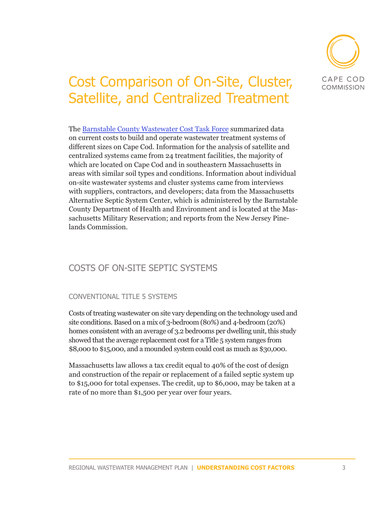

# Cost Comparison of On-Site, Cluster, Satellite, and Centralized Treatment

The [Barnstable County Wastewater Cost Task Force](http://www.ccwpc.org/images/educ_materials/wwreports/cape_cod_ww_costs--4-10.pdf) summarized data on current costs to build and operate wastewater treatment systems of different sizes on Cape Cod. Information for the analysis of satellite and centralized systems came from 24 treatment facilities, the majority of which are located on Cape Cod and in southeastern Massachusetts in areas with similar soil types and conditions. Information about individual on-site wastewater systems and cluster systems came from interviews with suppliers, contractors, and developers; data from the Massachusetts Alternative Septic System Center, which is administered by the Barnstable County Department of Health and Environment and is located at the Massachusetts Military Reservation; and reports from the New Jersey Pinelands Commission.

## COSTS OF ON-SITE SEPTIC SYSTEMS

### CONVENTIONAL TITLE 5 SYSTEMS

Costs of treating wastewater on site vary depending on the technology used and site conditions. Based on a mix of 3-bedroom (80%) and 4-bedroom (20%) homes consistent with an average of 3.2 bedrooms per dwelling unit, this study showed that the average replacement cost for a Title 5 system ranges from \$8,000 to \$15,000, and a mounded system could cost as much as \$30,000.

Massachusetts law allows a tax credit equal to 40% of the cost of design and construction of the repair or replacement of a failed septic system up to \$15,000 for total expenses. The credit, up to \$6,000, may be taken at a rate of no more than \$1,500 per year over four years.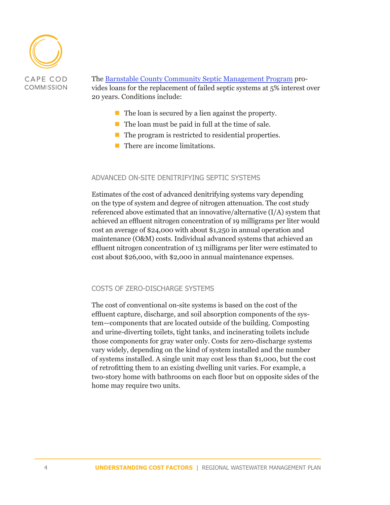

### The [Barnstable County Community Septic Management Program](http://www.barnstablecountysepticloan.org/) provides loans for the replacement of failed septic systems at 5% interest over 20 years. Conditions include:

- $\blacksquare$  The loan is secured by a lien against the property.
- $\blacksquare$  The loan must be paid in full at the time of sale.
- $\blacksquare$  The program is restricted to residential properties.
- **There are income limitations.**

#### ADVANCED ON-SITE DENITRIFYING SEPTIC SYSTEMS

Estimates of the cost of advanced denitrifying systems vary depending on the type of system and degree of nitrogen attenuation. The cost study referenced above estimated that an innovative/alternative (I/A) system that achieved an effluent nitrogen concentration of 19 milligrams per liter would cost an average of \$24,000 with about \$1,250 in annual operation and maintenance (O&M) costs. Individual advanced systems that achieved an effluent nitrogen concentration of 13 milligrams per liter were estimated to cost about \$26,000, with \$2,000 in annual maintenance expenses.

#### COSTS OF ZERO-DISCHARGE SYSTEMS

The cost of conventional on-site systems is based on the cost of the effluent capture, discharge, and soil absorption components of the system—components that are located outside of the building. Composting and urine-diverting toilets, tight tanks, and incinerating toilets include those components for gray water only. Costs for zero-discharge systems vary widely, depending on the kind of system installed and the number of systems installed. A single unit may cost less than \$1,000, but the cost of retrofitting them to an existing dwelling unit varies. For example, a two-story home with bathrooms on each floor but on opposite sides of the home may require two units.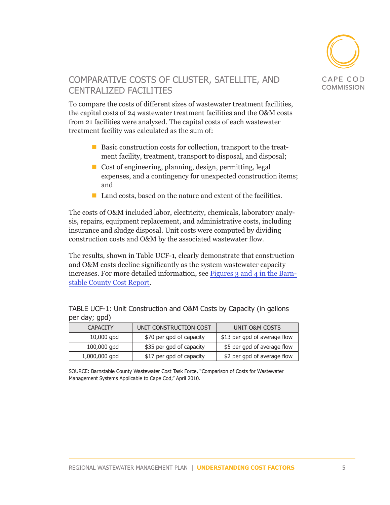

## COMPARATIVE COSTS OF CLUSTER, SATELLITE, AND CENTRALIZED FACILITIES

To compare the costs of different sizes of wastewater treatment facilities, the capital costs of 24 wastewater treatment facilities and the O&M costs from 21 facilities were analyzed. The capital costs of each wastewater treatment facility was calculated as the sum of:

- Basic construction costs for collection, transport to the treatment facility, treatment, transport to disposal, and disposal;
- Cost of engineering, planning, design, permitting, legal expenses, and a contingency for unexpected construction items; and
- $\blacksquare$  Land costs, based on the nature and extent of the facilities.

The costs of O&M included labor, electricity, chemicals, laboratory analysis, repairs, equipment replacement, and administrative costs, including insurance and sludge disposal. Unit costs were computed by dividing construction costs and O&M by the associated wastewater flow.

The results, shown in Table UCF-1, clearly demonstrate that construction and O&M costs decline significantly as the system wastewater capacity increases. For more detailed information, see [Figures 3 and 4 in the Barn](http://www.ccwpc.org/images/educ_materials/wwreports/cape_cod_ww_costs--4-10.pdf)[stable County Cost Report.](http://www.ccwpc.org/images/educ_materials/wwreports/cape_cod_ww_costs--4-10.pdf)

TABLE UCF-1: Unit Construction and O&M Costs by Capacity (in gallons per day; gpd)

| <b>CAPACITY</b> | UNIT CONSTRUCTION COST   | UNIT O&M COSTS               |
|-----------------|--------------------------|------------------------------|
| $10,000$ gpd    | \$70 per gpd of capacity | \$13 per gpd of average flow |
| $100,000$ gpd   | \$35 per gpd of capacity | \$5 per gpd of average flow  |
| 1,000,000 gpd   | \$17 per gpd of capacity | \$2 per gpd of average flow  |

SOURCE: Barnstable County Wastewater Cost Task Force, "Comparison of Costs for Wastewater Management Systems Applicable to Cape Cod," April 2010.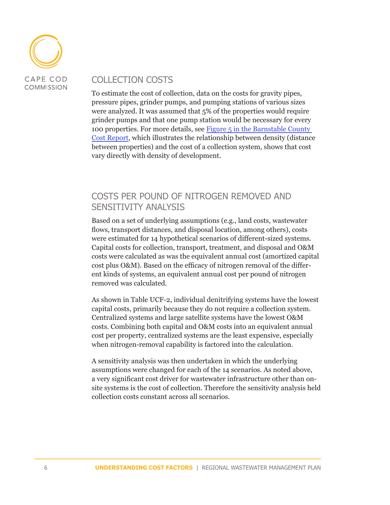

## COLLECTION COSTS

To estimate the cost of collection, data on the costs for gravity pipes, pressure pipes, grinder pumps, and pumping stations of various sizes were analyzed. It was assumed that 5% of the properties would require grinder pumps and that one pump station would be necessary for every 100 properties. For more details, see [Figure 5 in the Barnstable County](http://www.ccwpc.org/images/educ_materials/wwreports/cape_cod_ww_costs--4-10.pdf)  [Cost Report,](http://www.ccwpc.org/images/educ_materials/wwreports/cape_cod_ww_costs--4-10.pdf) which illustrates the relationship between density (distance between properties) and the cost of a collection system, shows that cost vary directly with density of development.

## COSTS PER POUND OF NITROGEN REMOVED AND SENSITIVITY ANALYSIS

Based on a set of underlying assumptions (e.g., land costs, wastewater flows, transport distances, and disposal location, among others), costs were estimated for 14 hypothetical scenarios of different-sized systems. Capital costs for collection, transport, treatment, and disposal and O&M costs were calculated as was the equivalent annual cost (amortized capital cost plus O&M). Based on the efficacy of nitrogen removal of the different kinds of systems, an equivalent annual cost per pound of nitrogen removed was calculated.

As shown in Table UCF-2, individual denitrifying systems have the lowest capital costs, primarily because they do not require a collection system. Centralized systems and large satellite systems have the lowest O&M costs. Combining both capital and O&M costs into an equivalent annual cost per property, centralized systems are the least expensive, especially when nitrogen-removal capability is factored into the calculation.

A sensitivity analysis was then undertaken in which the underlying assumptions were changed for each of the 14 scenarios. As noted above, a very significant cost driver for wastewater infrastructure other than onsite systems is the cost of collection. Therefore the sensitivity analysis held collection costs constant across all scenarios.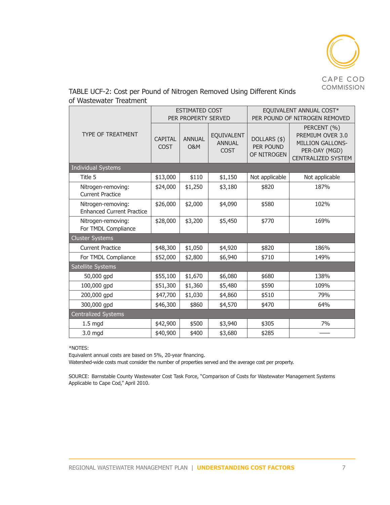

| TABLE UCF-2: Cost per Pound of Nitrogen Removed Using Different Kinds |  |  |  |
|-----------------------------------------------------------------------|--|--|--|
| of Wastewater Treatment                                               |  |  |  |

|                                                        | <b>ESTIMATED COST</b><br>PER PROPERTY SERVED |                                 |                                            | EQUIVALENT ANNUAL COST*<br>PER POUND OF NITROGEN REMOVED |                                                                                                          |  |  |  |
|--------------------------------------------------------|----------------------------------------------|---------------------------------|--------------------------------------------|----------------------------------------------------------|----------------------------------------------------------------------------------------------------------|--|--|--|
| <b>TYPE OF TREATMENT</b>                               | <b>CAPITAL</b><br>COST                       | <b>ANNUAL</b><br><b>O&amp;M</b> | EQUIVALENT<br><b>ANNUAL</b><br><b>COST</b> | DOLLARS (\$)<br>PER POUND<br>OF NITROGEN                 | PERCENT (%)<br>PREMIUM OVER 3.0<br><b>MILLION GALLONS-</b><br>PER-DAY (MGD)<br><b>CENTRALIZED SYSTEM</b> |  |  |  |
| <b>Individual Systems</b>                              |                                              |                                 |                                            |                                                          |                                                                                                          |  |  |  |
| Title 5                                                | \$13,000                                     | \$110                           | \$1,150                                    | Not applicable                                           | Not applicable                                                                                           |  |  |  |
| Nitrogen-removing:<br><b>Current Practice</b>          | \$24,000                                     | \$1,250                         | \$3,180                                    | \$820                                                    | 187%                                                                                                     |  |  |  |
| Nitrogen-removing:<br><b>Enhanced Current Practice</b> | \$26,000                                     | \$2,000                         | \$4,090                                    | \$580                                                    | 102%                                                                                                     |  |  |  |
| Nitrogen-removing:<br>For TMDL Compliance              | \$28,000                                     | \$3,200                         | \$5,450                                    | \$770                                                    | 169%                                                                                                     |  |  |  |
| <b>Cluster Systems</b>                                 |                                              |                                 |                                            |                                                          |                                                                                                          |  |  |  |
| <b>Current Practice</b>                                | \$48,300                                     | \$1,050                         | \$4,920                                    | \$820                                                    | 186%                                                                                                     |  |  |  |
| For TMDL Compliance                                    | \$52,000                                     | \$2,800                         | \$6,940                                    | \$710                                                    | 149%                                                                                                     |  |  |  |
| Satellite Systems                                      |                                              |                                 |                                            |                                                          |                                                                                                          |  |  |  |
| 50,000 gpd                                             | \$55,100                                     | \$1,670                         | \$6,080                                    | \$680                                                    | 138%                                                                                                     |  |  |  |
| 100,000 gpd                                            | \$51,300                                     | \$1,360                         | \$5,480                                    | \$590                                                    | 109%                                                                                                     |  |  |  |
| 200,000 gpd                                            | \$47,700                                     | \$1,030                         | \$4,860                                    | \$510                                                    | 79%                                                                                                      |  |  |  |
| 300,000 gpd                                            | \$46,300                                     | \$860                           | \$4,570                                    | \$470                                                    | 64%                                                                                                      |  |  |  |
| <b>Centralized Systems</b>                             |                                              |                                 |                                            |                                                          |                                                                                                          |  |  |  |
| $1.5$ mgd                                              | \$42,900                                     | \$500                           | \$3,940                                    | \$305                                                    | 7%                                                                                                       |  |  |  |
| 3.0 mgd                                                | \$40,900                                     | \$400                           | \$3,680                                    | \$285                                                    |                                                                                                          |  |  |  |

\*NOTES:

Equivalent annual costs are based on 5%, 20-year financing.

Watershed-wide costs must consider the number of properties served and the average cost per property.

SOURCE: Barnstable County Wastewater Cost Task Force, "Comparison of Costs for Wastewater Management Systems Applicable to Cape Cod," April 2010.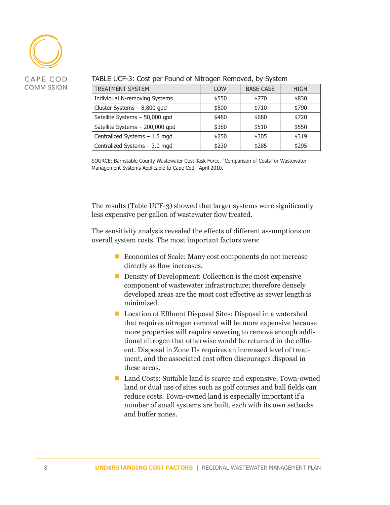

TREATMENT SYSTEM TREATMENT SYSTEM  $\vert$  LOW BASE CASE  $\vert$  HIGH Individual N-removing Systems  $\vert$  \$550  $\vert$  \$770  $\vert$  \$830 Cluster Systems – 8,800 gpd  $\uparrow$  \$500  $\uparrow$  \$710  $\uparrow$  \$790 Satellite Systems – 50,000 gpd  $$480$   $$680$   $$720$ Satellite Systems – 200,000 gpd  $\parallel$  \$380  $\parallel$  \$510 \$550 Centralized Systems – 1.5 mgd<br>  $\begin{array}{ccc} \hline \end{array}$  \$250  $\begin{array}{ccc} \hline \end{array}$  \$305 \$319 Centralized Systems – 3.0 mgd<br>  $\begin{array}{ccc} \hline \end{array}$   $\begin{array}{ccc} \hline \end{array}$  \$230  $\begin{array}{ccc} \hline \end{array}$  \$285  $\begin{array}{ccc} \end{array}$  \$295

#### TABLE UCF-3: Cost per Pound of Nitrogen Removed, by System

SOURCE: Barnstable County Wastewater Cost Task Force, "Comparison of Costs for Wastewater Management Systems Applicable to Cape Cod," April 2010.

The results (Table UCF-3) showed that larger systems were significantly less expensive per gallon of wastewater flow treated.

The sensitivity analysis revealed the effects of different assumptions on overall system costs. The most important factors were:

- Economies of Scale: Many cost components do not increase directly as flow increases.
- Density of Development: Collection is the most expensive component of wastewater infrastructure; therefore densely developed areas are the most cost effective as sewer length is minimized.
- Location of Effluent Disposal Sites: Disposal in a watershed that requires nitrogen removal will be more expensive because more properties will require sewering to remove enough additional nitrogen that otherwise would be returned in the effluent. Disposal in Zone IIs requires an increased level of treatment, and the associated cost often discourages disposal in these areas.
- Land Costs: Suitable land is scarce and expensive. Town-owned land or dual use of sites such as golf courses and ball fields can reduce costs. Town-owned land is especially important if a number of small systems are built, each with its own setbacks and buffer zones.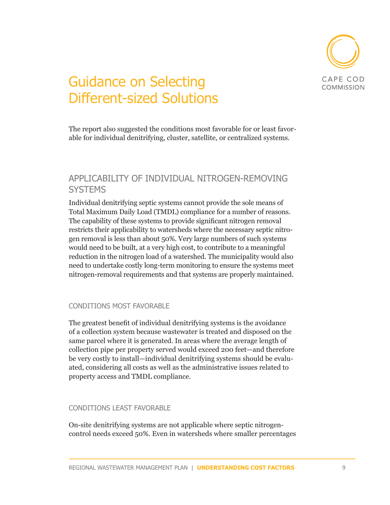

# Guidance on Selecting Different-sized Solutions

The report also suggested the conditions most favorable for or least favorable for individual denitrifying, cluster, satellite, or centralized systems.

## APPLICABILITY OF INDIVIDUAL NITROGEN-REMOVING **SYSTEMS**

Individual denitrifying septic systems cannot provide the sole means of Total Maximum Daily Load (TMDL) compliance for a number of reasons. The capability of these systems to provide significant nitrogen removal restricts their applicability to watersheds where the necessary septic nitrogen removal is less than about 50%. Very large numbers of such systems would need to be built, at a very high cost, to contribute to a meaningful reduction in the nitrogen load of a watershed. The municipality would also need to undertake costly long-term monitoring to ensure the systems meet nitrogen-removal requirements and that systems are properly maintained.

### CONDITIONS MOST FAVORABLE

The greatest benefit of individual denitrifying systems is the avoidance of a collection system because wastewater is treated and disposed on the same parcel where it is generated. In areas where the average length of collection pipe per property served would exceed 200 feet—and therefore be very costly to install—individual denitrifying systems should be evaluated, considering all costs as well as the administrative issues related to property access and TMDL compliance.

### CONDITIONS LEAST FAVORABLE

On-site denitrifying systems are not applicable where septic nitrogencontrol needs exceed 50%. Even in watersheds where smaller percentages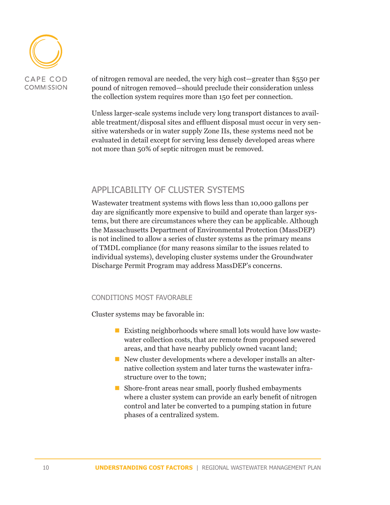

of nitrogen removal are needed, the very high cost—greater than \$550 per pound of nitrogen removed—should preclude their consideration unless the collection system requires more than 150 feet per connection.

Unless larger-scale systems include very long transport distances to available treatment/disposal sites and effluent disposal must occur in very sensitive watersheds or in water supply Zone IIs, these systems need not be evaluated in detail except for serving less densely developed areas where not more than 50% of septic nitrogen must be removed.

### APPLICABILITY OF CLUSTER SYSTEMS

Wastewater treatment systems with flows less than 10,000 gallons per day are significantly more expensive to build and operate than larger systems, but there are circumstances where they can be applicable. Although the Massachusetts Department of Environmental Protection (MassDEP) is not inclined to allow a series of cluster systems as the primary means of TMDL compliance (for many reasons similar to the issues related to individual systems), developing cluster systems under the Groundwater Discharge Permit Program may address MassDEP's concerns.

### CONDITIONS MOST FAVORABLE

Cluster systems may be favorable in:

- **Existing neighborhoods where small lots would have low waste**water collection costs, that are remote from proposed sewered areas, and that have nearby publicly owned vacant land;
- New cluster developments where a developer installs an alternative collection system and later turns the wastewater infrastructure over to the town;
- Shore-front areas near small, poorly flushed embayments where a cluster system can provide an early benefit of nitrogen control and later be converted to a pumping station in future phases of a centralized system.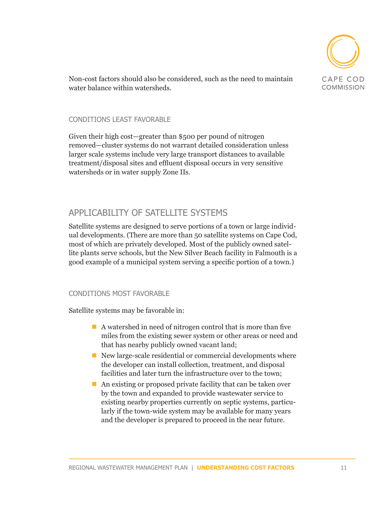

Non-cost factors should also be considered, such as the need to maintain water balance within watersheds.

### CONDITIONS LEAST FAVORABLE

Given their high cost—greater than \$500 per pound of nitrogen removed—cluster systems do not warrant detailed consideration unless larger scale systems include very large transport distances to available treatment/disposal sites and effluent disposal occurs in very sensitive watersheds or in water supply Zone IIs.

## APPLICABILITY OF SATELLITE SYSTEMS

Satellite systems are designed to serve portions of a town or large individual developments. (There are more than 50 satellite systems on Cape Cod, most of which are privately developed. Most of the publicly owned satellite plants serve schools, but the New Silver Beach facility in Falmouth is a good example of a municipal system serving a specific portion of a town.)

### CONDITIONS MOST FAVORABLE

Satellite systems may be favorable in:

- A watershed in need of nitrogen control that is more than five miles from the existing sewer system or other areas or need and that has nearby publicly owned vacant land;
- $\blacksquare$  New large-scale residential or commercial developments where the developer can install collection, treatment, and disposal facilities and later turn the infrastructure over to the town;
- An existing or proposed private facility that can be taken over by the town and expanded to provide wastewater service to existing nearby properties currently on septic systems, particularly if the town-wide system may be available for many years and the developer is prepared to proceed in the near future.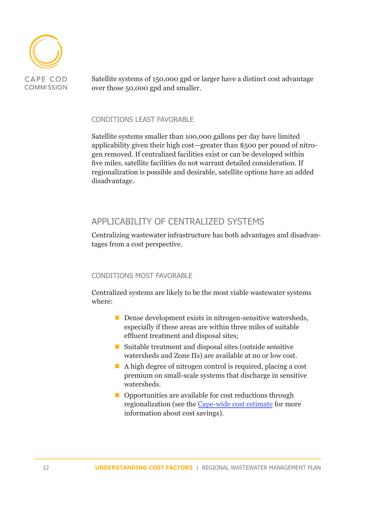

Satellite systems of 150,000 gpd or larger have a distinct cost advantage over those 50,000 gpd and smaller.

#### CONDITIONS LEAST FAVORABLE

Satellite systems smaller than 100,000 gallons per day have limited applicability given their high cost—greater than \$500 per pound of nitrogen removed. If centralized facilities exist or can be developed within five miles, satellite facilities do not warrant detailed consideration. If regionalization is possible and desirable, satellite options have an added disadvantage.

## APPLICABILITY OF CENTRALIZED SYSTEMS

Centralizing wastewater infrastructure has both advantages and disadvantages from a cost perspective.

### CONDITIONS MOST FAVORABLE

Centralized systems are likely to be the most viable wastewater systems where:

- Dense development exists in nitrogen-sensitive watersheds, especially if these areas are within three miles of suitable effluent treatment and disposal sites;
- Suitable treatment and disposal sites (outside sensitive watersheds and Zone IIs) are available at no or low cost.
- A high degree of nitrogen control is required, placing a cost premium on small-scale systems that discharge in sensitive watersheds.
- Opportunities are available for cost reductions through regionalization (see the [Cape-wide cost estimate](http://www.capecodcommission.org/resources/RWMP/RWMP_costs_capewide.pdf) for more information about cost savings).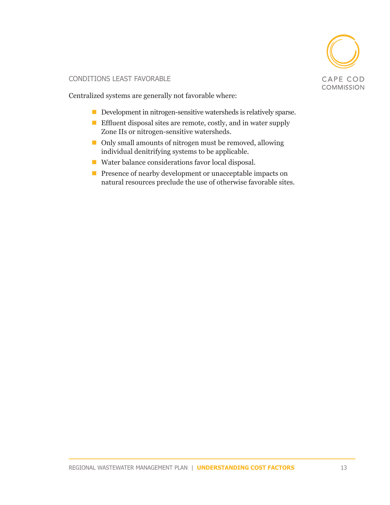

### CONDITIONS LEAST FAVORABLE

Centralized systems are generally not favorable where:

- Development in nitrogen-sensitive watersheds is relatively sparse.
- **Effluent disposal sites are remote, costly, and in water supply** Zone IIs or nitrogen-sensitive watersheds.
- Only small amounts of nitrogen must be removed, allowing individual denitrifying systems to be applicable.
- Water balance considerations favor local disposal.
- **Presence of nearby development or unacceptable impacts on** natural resources preclude the use of otherwise favorable sites.